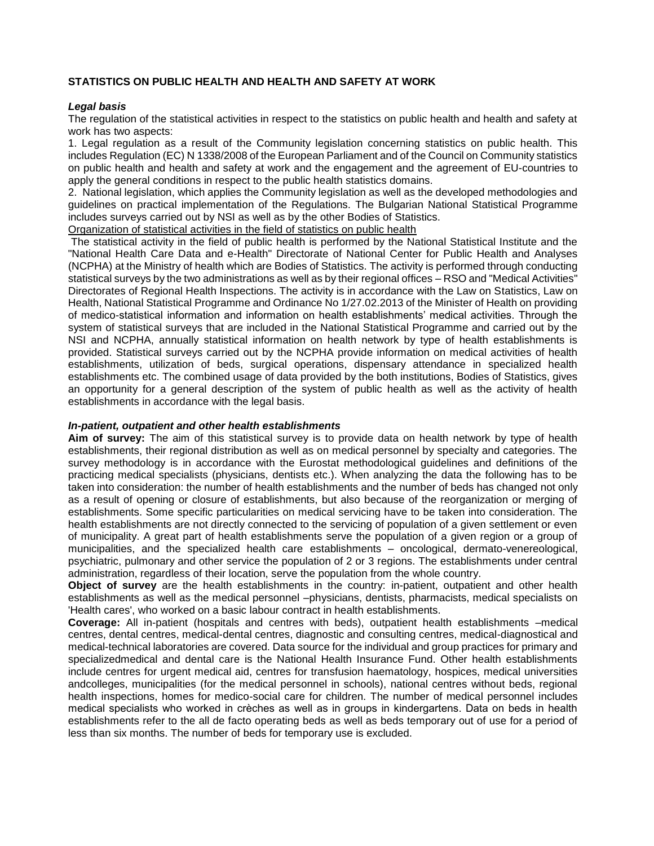# **STATISTICS ON PUBLIC HEALTH AND HEALTH AND SAFETY AT WORK**

## *Legal basis*

The regulation of the statistical activities in respect to the statistics on public health and health and safety at work has two aspects:

1. Legal regulation as a result of the Community legislation concerning statistics on public health. This includes Regulation (EC) N 1338/2008 of the European Parliament and of the Council on Community statistics on public health and health and safety at work and the engagement and the agreement of EU-countries to apply the general conditions in respect to the public health statistics domains.

2. National legislation, which applies the Community legislation as well as the developed methodologies and guidelines on practical implementation of the Regulations. The Bulgarian National Statistical Programme includes surveys carried out by NSI as well as by the other Bodies of Statistics.

Organization of statistical activities in the field of statistics on public health

The statistical activity in the field of public health is performed by the National Statistical Institute and the "National Health Care Data and e-Health" Directorate of National Center for Public Health and Analyses (NCPHA) at the Ministry of health which are Bodies of Statistics. The activity is performed through conducting statistical surveys by the two administrations as well as by their regional offices – RSO and "Medical Activities" Directorates of Regional Health Inspections. The activity is in accordance with the Law on Statistics, Law on Health, National Statistical Programme and Ordinance No 1/27.02.2013 of the Minister of Health on providing of medico-statistical information and information on health establishments' medical activities. Through the system of statistical surveys that are included in the National Statistical Programme and carried out by the NSI and NCPHA, annually statistical information on health network by type of health establishments is provided. Statistical surveys carried out by the NCPHA provide information on medical activities of health establishments, utilization of beds, surgical operations, dispensary attendance in specialized health establishments etc. The combined usage of data provided by the both institutions, Bodies of Statistics, gives an opportunity for a general description of the system of public health as well as the activity of health establishments in accordance with the legal basis.

### *In-patient, outpatient and other health establishments*

**Aim of survey:** The aim of this statistical survey is to provide data on health network by type of health establishments, their regional distribution as well as on medical personnel by specialty and categories. The survey methodology is in accordance with the Eurostat methodological guidelines and definitions of the practicing medical specialists (physicians, dentists etc.). When analyzing the data the following has to be taken into consideration: the number of health establishments and the number of beds has changed not only as a result of opening or closure of establishments, but also because of the reorganization or merging of establishments. Some specific particularities on medical servicing have to be taken into consideration. The health establishments are not directly connected to the servicing of population of a given settlement or even of municipality. A great part of health establishments serve the population of a given region or a group of municipalities, and the specialized health care establishments – oncological, dermato-venereological, psychiatric, pulmonary and other service the population of 2 or 3 regions. The establishments under central administration, regardless of their location, serve the population from the whole country.

**Object of survey** are the health establishments in the country: in-patient, outpatient and other health establishments as well as the medical personnel –physicians, dentists, pharmacists, medical specialists on 'Health cares', who worked on a basic labour contract in health establishments.

**Coverage:** All in-patient (hospitals and centres with beds), outpatient health establishments –medical centres, dental centres, medical-dental centres, diagnostic and consulting centres, medical-diagnostical and medical-technical laboratories are covered. Data source for the individual and group practices for primary and specializedmedical and dental care is the National Health Insurance Fund. Other health establishments include centres for urgent medical aid, centres for transfusion haematology, hospices, medical universities andcolleges, municipalities (for the medical personnel in schools), national centres without beds, regional health inspections, homes for medico-social care for children. The number of medical personnel includes medical specialists who worked in crèches as well as in groups in kindergartens. Data on beds in health establishments refer to the all de facto operating beds as well as beds temporary out of use for a period of less than six months. The number of beds for temporary use is excluded.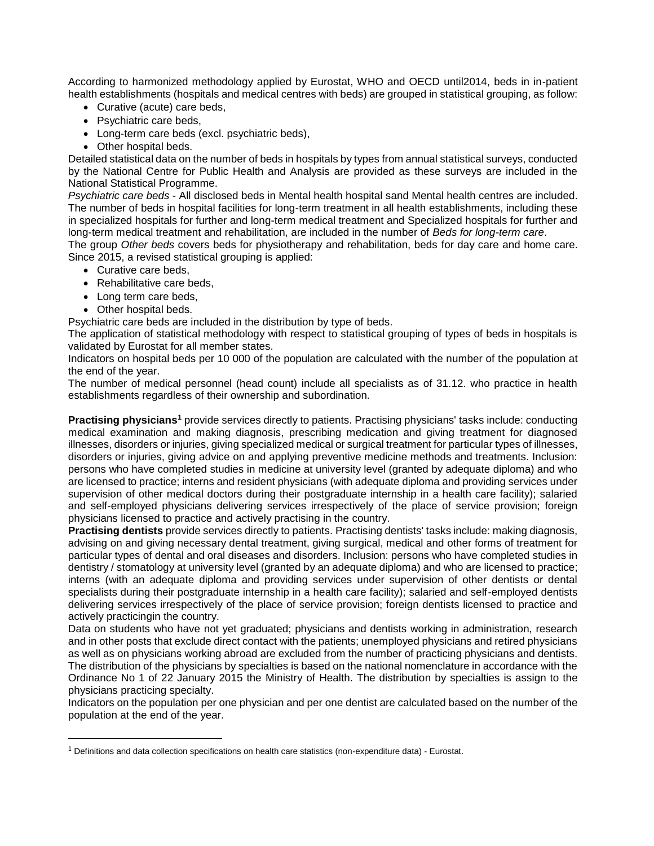According to harmonized methodology applied by Eurostat, WHO and OECD until2014, beds in in-patient health establishments (hospitals and medical centres with beds) are grouped in statistical grouping, as follow:

- Curative (acute) care beds,
- Psychiatric care beds,
- Long-term care beds (excl. psychiatric beds),
- Other hospital beds.

Detailed statistical data on the number of beds in hospitals by types from annual statistical surveys, conducted by the National Centre for Public Health and Analysis are provided as these surveys are included in the National Statistical Programme.

*Psychiatric care beds* - All disclosed beds in Mental health hospital sand Mental health centres are included. The number of beds in hospital facilities for long-term treatment in all health establishments, including these in specialized hospitals for further and long-term medical treatment and Specialized hospitals for further and long-term medical treatment and rehabilitation, are included in the number of *Beds for long-term care*.

The group *Other beds* covers beds for physiotherapy and rehabilitation, beds for day care and home care. Since 2015, a revised statistical grouping is applied:

- Curative care beds,
- Rehabilitative care beds,
- Long term care beds,
- Other hospital beds.

 $\overline{\phantom{a}}$ 

Psychiatric care beds are included in the distribution by type of beds.

The application of statistical methodology with respect to statistical grouping of types of beds in hospitals is validated by Eurostat for all member states.

Indicators on hospital beds per 10 000 of the population are calculated with the number of the population at the end of the year.

The number of medical personnel (head count) include all specialists as of 31.12. who practice in health establishments regardless of their ownership and subordination.

**Practising physicians<sup>1</sup>** provide services directly to patients. Practising physicians' tasks include: conducting medical examination and making diagnosis, prescribing medication and giving treatment for diagnosed illnesses, disorders or injuries, giving specialized medical or surgical treatment for particular types of illnesses, disorders or injuries, giving advice on and applying preventive medicine methods and treatments. Inclusion: persons who have completed studies in medicine at university level (granted by adequate diploma) and who are licensed to practice; interns and resident physicians (with adequate diploma and providing services under supervision of other medical doctors during their postgraduate internship in a health care facility); salaried and self-employed physicians delivering services irrespectively of the place of service provision; foreign physicians licensed to practice and actively practising in the country.

**Practising dentists** provide services directly to patients. Practising dentists' tasks include: making diagnosis, advising on and giving necessary dental treatment, giving surgical, medical and other forms of treatment for particular types of dental and oral diseases and disorders. Inclusion: persons who have completed studies in dentistry / stomatology at university level (granted by an adequate diploma) and who are licensed to practice; interns (with an adequate diploma and providing services under supervision of other dentists or dental specialists during their postgraduate internship in a health care facility); salaried and self-employed dentists delivering services irrespectively of the place of service provision; foreign dentists licensed to practice and actively practicingin the country.

Data on students who have not yet graduated; physicians and dentists working in administration, research and in other posts that exclude direct contact with the patients; unemployed physicians and retired physicians as well as on physicians working abroad are excluded from the number of practicing physicians and dentists. The distribution of the physicians by specialties is based on the national nomenclature in accordance with the Ordinance No 1 of 22 January 2015 the Ministry of Health. The distribution by specialties is assign to the physicians practicing specialty.

Indicators on the population per one physician and per one dentist are calculated based on the number of the population at the end of the year.

 $1$  Definitions and data collection specifications on health care statistics (non-expenditure data) - Eurostat.